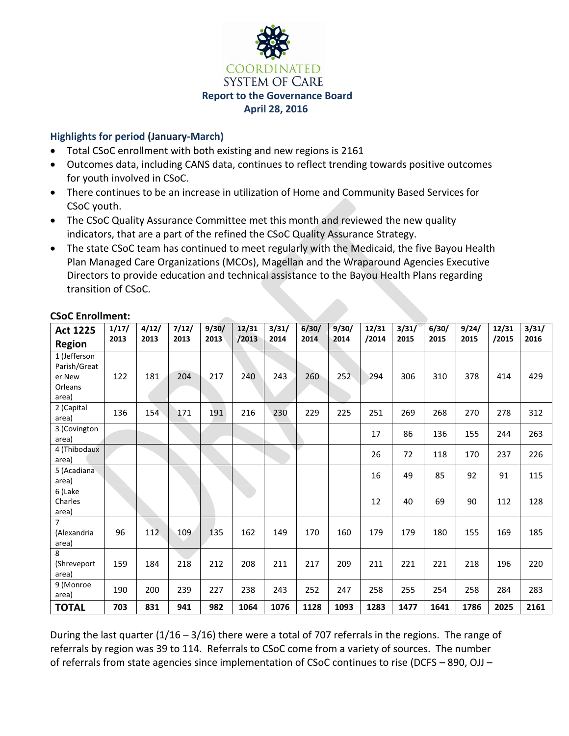

#### **Highlights for period (January-March)**

- Total CSoC enrollment with both existing and new regions is 2161
- Outcomes data, including CANS data, continues to reflect trending towards positive outcomes for youth involved in CSoC.
- There continues to be an increase in utilization of Home and Community Based Services for CSoC youth.
- The CSoC Quality Assurance Committee met this month and reviewed the new quality indicators, that are a part of the refined the CSoC Quality Assurance Strategy.
- The state CSoC team has continued to meet regularly with the Medicaid, the five Bayou Health Plan Managed Care Organizations (MCOs), Magellan and the Wraparound Agencies Executive Directors to provide education and technical assistance to the Bayou Health Plans regarding transition of CSoC.

| <b>Act 1225</b>                                            | 1/17/<br>2013 | 4/12/<br>2013 | 7/12/<br>2013 | 9/30/<br>2013 | 12/31<br>/2013 | 3/31/<br>2014 | 6/30/<br>2014 | 9/30/<br>2014 | 12/31<br>/2014 | 3/31/<br>2015 | 6/30/<br>2015 | 9/24/<br>2015 | 12/31<br>/2015 | 3/31/<br>2016 |
|------------------------------------------------------------|---------------|---------------|---------------|---------------|----------------|---------------|---------------|---------------|----------------|---------------|---------------|---------------|----------------|---------------|
| <b>Region</b>                                              |               |               |               |               |                |               |               |               |                |               |               |               |                |               |
| 1 (Jefferson<br>Parish/Great<br>er New<br>Orleans<br>area) | 122           | 181           | 204           | 217           | 240            | 243           | 260           | 252           | 294            | 306           | 310           | 378           | 414            | 429           |
| 2 (Capital<br>area)                                        | 136           | 154           | 171           | 191           | 216            | 230           | 229           | 225           | 251            | 269           | 268           | 270           | 278            | 312           |
| 3 (Covington<br>area)                                      |               |               |               |               |                |               |               |               | 17             | 86            | 136           | 155           | 244            | 263           |
| 4 (Thibodaux<br>area)                                      |               |               |               |               |                |               |               |               | 26             | 72            | 118           | 170           | 237            | 226           |
| 5 (Acadiana<br>area)                                       |               |               |               |               |                |               |               |               | 16             | 49            | 85            | 92            | 91             | 115           |
| 6 (Lake<br>Charles<br>area)                                |               |               |               |               |                |               |               |               | 12             | 40            | 69            | 90            | 112            | 128           |
| $\overline{7}$<br>(Alexandria<br>area)                     | 96            | 112           | 109           | 135           | 162            | 149           | 170           | 160           | 179            | 179           | 180           | 155           | 169            | 185           |
| 8<br>(Shreveport<br>area)                                  | 159           | 184           | 218           | 212           | 208            | 211           | 217           | 209           | 211            | 221           | 221           | 218           | 196            | 220           |
| 9 (Monroe<br>area)                                         | 190           | 200           | 239           | 227           | 238            | 243           | 252           | 247           | 258            | 255           | 254           | 258           | 284            | 283           |
| <b>TOTAL</b>                                               | 703           | 831           | 941           | 982           | 1064           | 1076          | 1128          | 1093          | 1283           | 1477          | 1641          | 1786          | 2025           | 2161          |

### **CSoC Enrollment:**

During the last quarter (1/16 – 3/16) there were a total of 707 referrals in the regions. The range of referrals by region was 39 to 114. Referrals to CSoC come from a variety of sources. The number of referrals from state agencies since implementation of CSoC continues to rise (DCFS – 890, OJJ –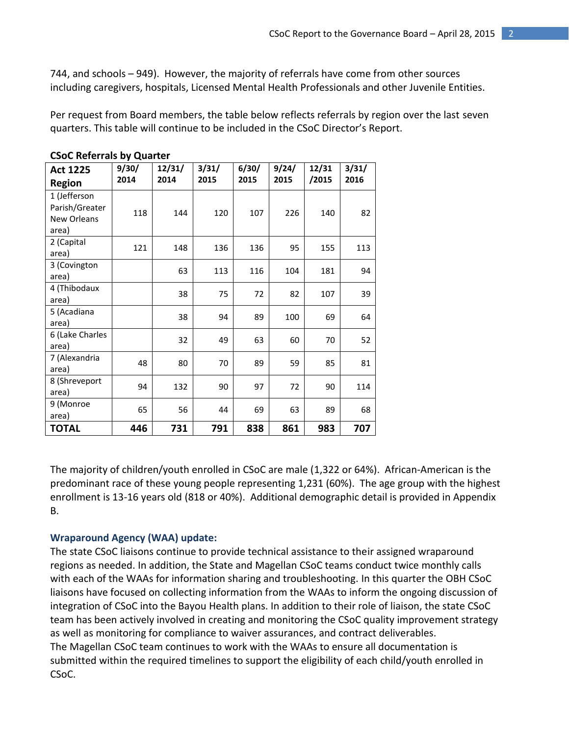744, and schools – 949). However, the majority of referrals have come from other sources including caregivers, hospitals, Licensed Mental Health Professionals and other Juvenile Entities.

Per request from Board members, the table below reflects referrals by region over the last seven quarters. This table will continue to be included in the CSoC Director's Report.

| <b>Act 1225</b><br><b>Region</b>                              | 9/30/<br>2014 | 12/31/<br>2014 | 3/31/<br>2015 | 6/30/<br>2015 | 9/24/<br>2015 | 12/31<br>/2015 | 3/31/<br>2016 |
|---------------------------------------------------------------|---------------|----------------|---------------|---------------|---------------|----------------|---------------|
| 1 (Jefferson<br>Parish/Greater<br><b>New Orleans</b><br>area) | 118           | 144            | 120           | 107           | 226           | 140            | 82            |
| 2 (Capital<br>area)                                           | 121           | 148            | 136           | 136           | 95            | 155            | 113           |
| 3 (Covington<br>area)                                         |               | 63             | 113           | 116           | 104           | 181            | 94            |
| 4 (Thibodaux<br>area)                                         |               | 38             | 75            | 72            | 82            | 107            | 39            |
| 5 (Acadiana<br>area)                                          |               | 38             | 94            | 89            | 100           | 69             | 64            |
| 6 (Lake Charles<br>area)                                      |               | 32             | 49            | 63            | 60            | 70             | 52            |
| 7 (Alexandria<br>area)                                        | 48            | 80             | 70            | 89            | 59            | 85             | 81            |
| 8 (Shreveport<br>area)                                        | 94            | 132            | 90            | 97            | 72            | 90             | 114           |
| 9 (Monroe<br>area)                                            | 65            | 56             | 44            | 69            | 63            | 89             | 68            |
| <b>TOTAL</b>                                                  | 446           | 731            | 791           | 838           | 861           | 983            | 707           |

**CSoC Referrals by Quarter** 

The majority of children/youth enrolled in CSoC are male (1,322 or 64%). African-American is the predominant race of these young people representing 1,231 (60%). The age group with the highest enrollment is 13-16 years old (818 or 40%). Additional demographic detail is provided in Appendix B.

#### **Wraparound Agency (WAA) update:**

The state CSoC liaisons continue to provide technical assistance to their assigned wraparound regions as needed. In addition, the State and Magellan CSoC teams conduct twice monthly calls with each of the WAAs for information sharing and troubleshooting. In this quarter the OBH CSoC liaisons have focused on collecting information from the WAAs to inform the ongoing discussion of integration of CSoC into the Bayou Health plans. In addition to their role of liaison, the state CSoC team has been actively involved in creating and monitoring the CSoC quality improvement strategy as well as monitoring for compliance to waiver assurances, and contract deliverables. The Magellan CSoC team continues to work with the WAAs to ensure all documentation is submitted within the required timelines to support the eligibility of each child/youth enrolled in CSoC.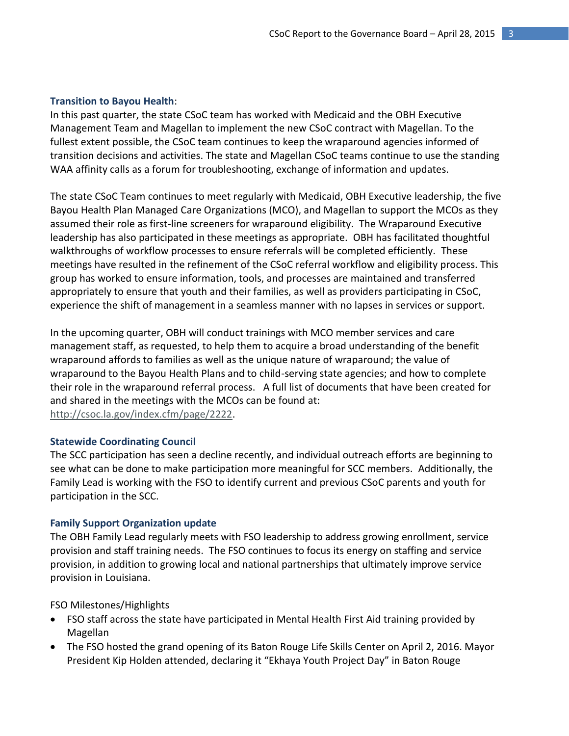#### **Transition to Bayou Health**:

In this past quarter, the state CSoC team has worked with Medicaid and the OBH Executive Management Team and Magellan to implement the new CSoC contract with Magellan. To the fullest extent possible, the CSoC team continues to keep the wraparound agencies informed of transition decisions and activities. The state and Magellan CSoC teams continue to use the standing WAA affinity calls as a forum for troubleshooting, exchange of information and updates.

The state CSoC Team continues to meet regularly with Medicaid, OBH Executive leadership, the five Bayou Health Plan Managed Care Organizations (MCO), and Magellan to support the MCOs as they assumed their role as first-line screeners for wraparound eligibility. The Wraparound Executive leadership has also participated in these meetings as appropriate. OBH has facilitated thoughtful walkthroughs of workflow processes to ensure referrals will be completed efficiently. These meetings have resulted in the refinement of the CSoC referral workflow and eligibility process. This group has worked to ensure information, tools, and processes are maintained and transferred appropriately to ensure that youth and their families, as well as providers participating in CSoC, experience the shift of management in a seamless manner with no lapses in services or support.

In the upcoming quarter, OBH will conduct trainings with MCO member services and care management staff, as requested, to help them to acquire a broad understanding of the benefit wraparound affords to families as well as the unique nature of wraparound; the value of wraparound to the Bayou Health Plans and to child-serving state agencies; and how to complete their role in the wraparound referral process. A full list of documents that have been created for and shared in the meetings with the MCOs can be found at: [http://csoc.la.gov/index.cfm/page/2222.](http://csoc.la.gov/index.cfm/page/2222)

#### **Statewide Coordinating Council**

The SCC participation has seen a decline recently, and individual outreach efforts are beginning to see what can be done to make participation more meaningful for SCC members. Additionally, the Family Lead is working with the FSO to identify current and previous CSoC parents and youth for participation in the SCC.

#### **Family Support Organization update**

The OBH Family Lead regularly meets with FSO leadership to address growing enrollment, service provision and staff training needs. The FSO continues to focus its energy on staffing and service provision, in addition to growing local and national partnerships that ultimately improve service provision in Louisiana.

FSO Milestones/Highlights

- FSO staff across the state have participated in Mental Health First Aid training provided by Magellan
- The FSO hosted the grand opening of its Baton Rouge Life Skills Center on April 2, 2016. Mayor President Kip Holden attended, declaring it "Ekhaya Youth Project Day" in Baton Rouge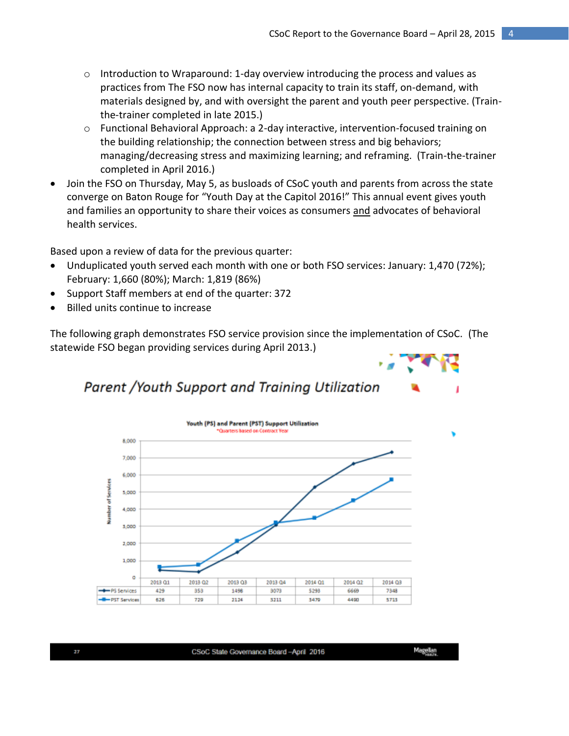- $\circ$  Introduction to Wraparound: 1-day overview introducing the process and values as practices from The FSO now has internal capacity to train its staff, on-demand, with materials designed by, and with oversight the parent and youth peer perspective. (Trainthe-trainer completed in late 2015.)
- o Functional Behavioral Approach: a 2-day interactive, intervention-focused training on the building relationship; the connection between stress and big behaviors; managing/decreasing stress and maximizing learning; and reframing. (Train-the-trainer completed in April 2016.)
- Join the FSO on Thursday, May 5, as busloads of CSoC youth and parents from across the state converge on Baton Rouge for "Youth Day at the Capitol 2016!" This annual event gives youth and families an opportunity to share their voices as consumers and advocates of behavioral health services.

Based upon a review of data for the previous quarter:

- Unduplicated youth served each month with one or both FSO services: January: 1,470 (72%); February: 1,660 (80%); March: 1,819 (86%)
- Support Staff members at end of the quarter: 372
- Billed units continue to increase

The following graph demonstrates FSO service provision since the implementation of CSoC. (The statewide FSO began providing services during April 2013.)



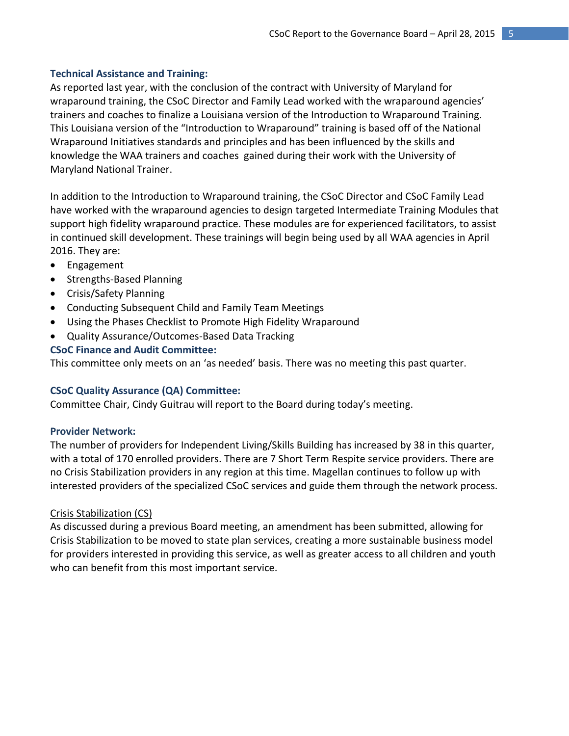#### **Technical Assistance and Training:**

As reported last year, with the conclusion of the contract with University of Maryland for wraparound training, the CSoC Director and Family Lead worked with the wraparound agencies' trainers and coaches to finalize a Louisiana version of the Introduction to Wraparound Training. This Louisiana version of the "Introduction to Wraparound" training is based off of the National Wraparound Initiatives standards and principles and has been influenced by the skills and knowledge the WAA trainers and coaches gained during their work with the University of Maryland National Trainer.

In addition to the Introduction to Wraparound training, the CSoC Director and CSoC Family Lead have worked with the wraparound agencies to design targeted Intermediate Training Modules that support high fidelity wraparound practice. These modules are for experienced facilitators, to assist in continued skill development. These trainings will begin being used by all WAA agencies in April 2016. They are:

- Engagement
- Strengths-Based Planning
- Crisis/Safety Planning
- Conducting Subsequent Child and Family Team Meetings
- Using the Phases Checklist to Promote High Fidelity Wraparound
- Quality Assurance/Outcomes-Based Data Tracking

#### **CSoC Finance and Audit Committee:**

This committee only meets on an 'as needed' basis. There was no meeting this past quarter.

#### **CSoC Quality Assurance (QA) Committee:**

Committee Chair, Cindy Guitrau will report to the Board during today's meeting.

#### **Provider Network:**

The number of providers for Independent Living/Skills Building has increased by 38 in this quarter, with a total of 170 enrolled providers. There are 7 Short Term Respite service providers. There are no Crisis Stabilization providers in any region at this time. Magellan continues to follow up with interested providers of the specialized CSoC services and guide them through the network process.

#### Crisis Stabilization (CS)

As discussed during a previous Board meeting, an amendment has been submitted, allowing for Crisis Stabilization to be moved to state plan services, creating a more sustainable business model for providers interested in providing this service, as well as greater access to all children and youth who can benefit from this most important service.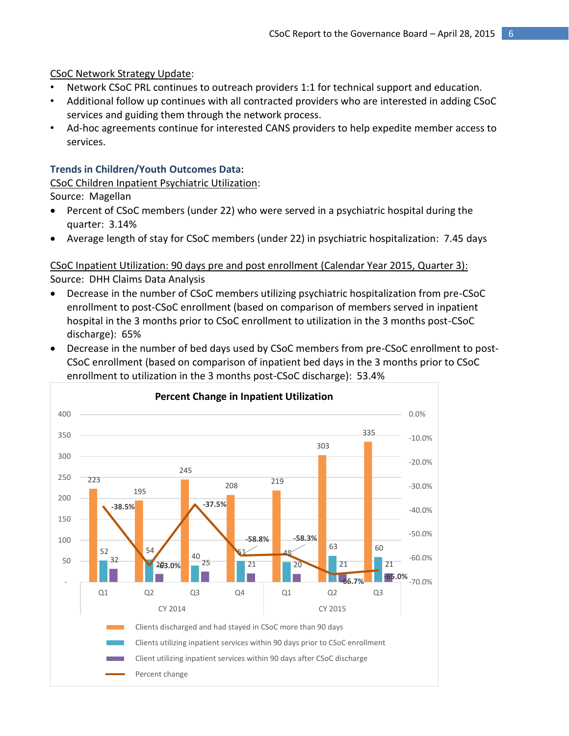CSoC Network Strategy Update:

- Network CSoC PRL continues to outreach providers 1:1 for technical support and education.
- Additional follow up continues with all contracted providers who are interested in adding CSoC services and guiding them through the network process.
- Ad-hoc agreements continue for interested CANS providers to help expedite member access to services.

#### **Trends in Children/Youth Outcomes Data:**

CSoC Children Inpatient Psychiatric Utilization:

Source: Magellan

- Percent of CSoC members (under 22) who were served in a psychiatric hospital during the quarter: 3.14%
- Average length of stay for CSoC members (under 22) in psychiatric hospitalization: 7.45 days

CSoC Inpatient Utilization: 90 days pre and post enrollment (Calendar Year 2015, Quarter 3): Source: DHH Claims Data Analysis

- Decrease in the number of CSoC members utilizing psychiatric hospitalization from pre-CSoC enrollment to post-CSoC enrollment (based on comparison of members served in inpatient hospital in the 3 months prior to CSoC enrollment to utilization in the 3 months post-CSoC discharge): 65%
- Decrease in the number of bed days used by CSoC members from pre-CSoC enrollment to post-CSoC enrollment (based on comparison of inpatient bed days in the 3 months prior to CSoC enrollment to utilization in the 3 months post-CSoC discharge): 53.4%

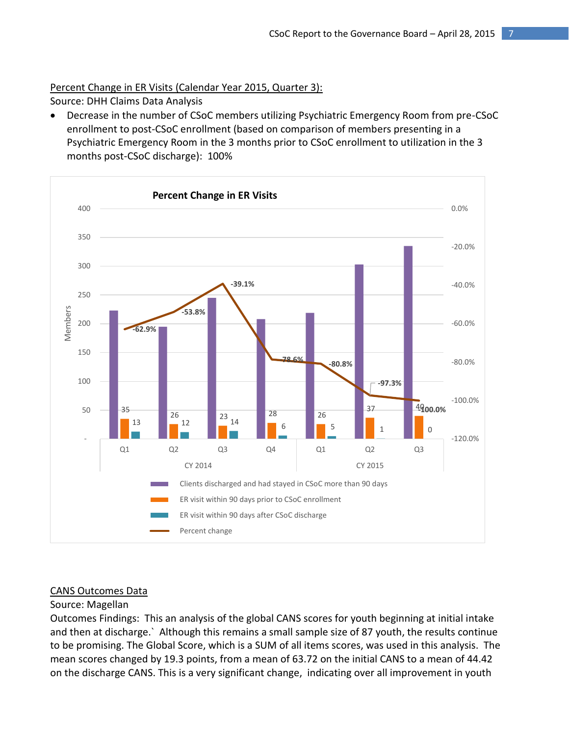## Percent Change in ER Visits (Calendar Year 2015, Quarter 3):

Source: DHH Claims Data Analysis

 Decrease in the number of CSoC members utilizing Psychiatric Emergency Room from pre-CSoC enrollment to post-CSoC enrollment (based on comparison of members presenting in a Psychiatric Emergency Room in the 3 months prior to CSoC enrollment to utilization in the 3 months post-CSoC discharge): 100%



#### CANS Outcomes Data

#### Source: Magellan

Outcomes Findings: This an analysis of the global CANS scores for youth beginning at initial intake and then at discharge.` Although this remains a small sample size of 87 youth, the results continue to be promising. The Global Score, which is a SUM of all items scores, was used in this analysis. The mean scores changed by 19.3 points, from a mean of 63.72 on the initial CANS to a mean of 44.42 on the discharge CANS. This is a very significant change, indicating over all improvement in youth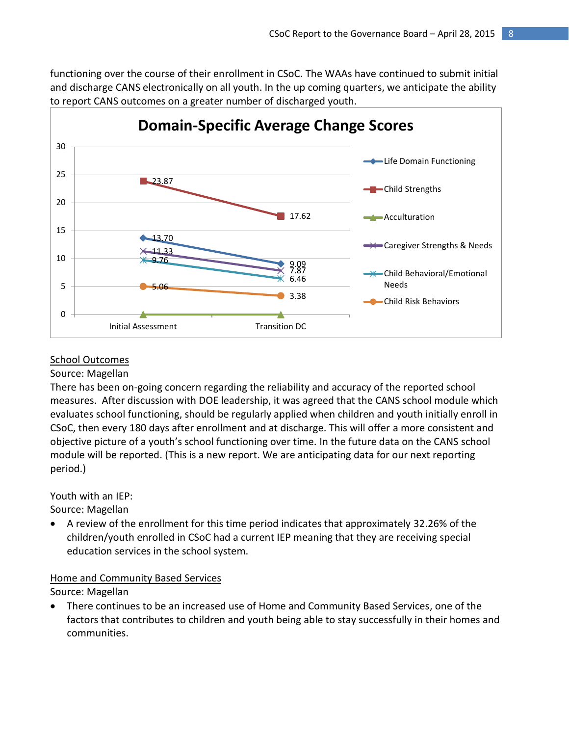functioning over the course of their enrollment in CSoC. The WAAs have continued to submit initial and discharge CANS electronically on all youth. In the up coming quarters, we anticipate the ability to report CANS outcomes on a greater number of discharged youth.



#### School Outcomes

#### Source: Magellan

There has been on-going concern regarding the reliability and accuracy of the reported school measures. After discussion with DOE leadership, it was agreed that the CANS school module which evaluates school functioning, should be regularly applied when children and youth initially enroll in CSoC, then every 180 days after enrollment and at discharge. This will offer a more consistent and objective picture of a youth's school functioning over time. In the future data on the CANS school module will be reported. (This is a new report. We are anticipating data for our next reporting period.)

Youth with an IEP:

Source: Magellan

 A review of the enrollment for this time period indicates that approximately 32.26% of the children/youth enrolled in CSoC had a current IEP meaning that they are receiving special education services in the school system.

## Home and Community Based Services

Source: Magellan

 There continues to be an increased use of Home and Community Based Services, one of the factors that contributes to children and youth being able to stay successfully in their homes and communities.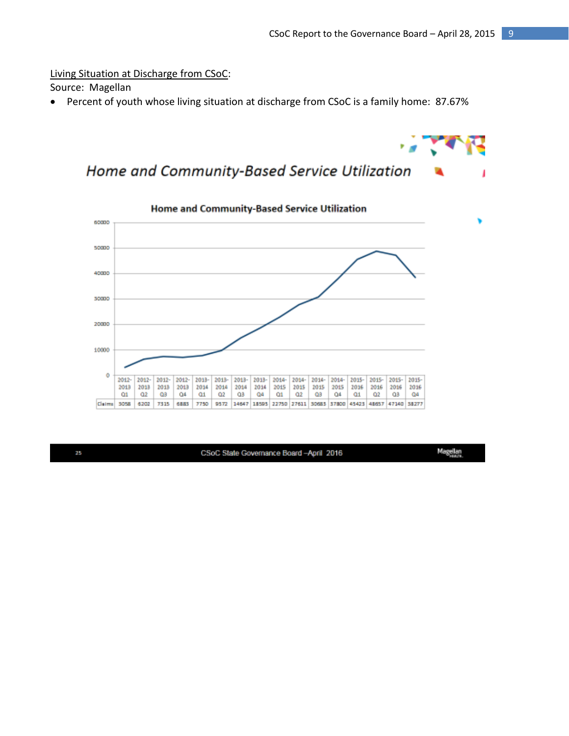Living Situation at Discharge from CSoC:

Source: Magellan

Percent of youth whose living situation at discharge from CSoC is a family home: 87.67%





25

CSoC State Governance Board-April 2016

Magellan<br>Saasa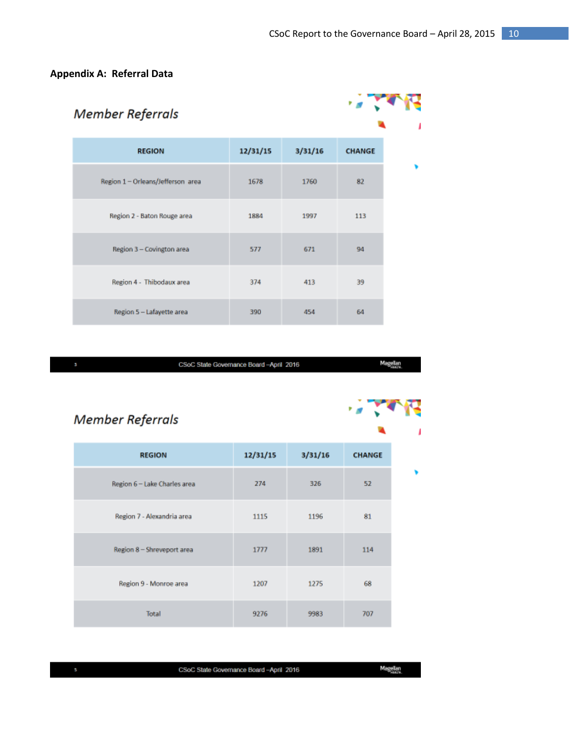## **Appendix A: Referral Data**

| <b>Member Referrals</b>           |          |         |               |  |
|-----------------------------------|----------|---------|---------------|--|
| <b>REGION</b>                     | 12/31/15 | 3/31/16 | <b>CHANGE</b> |  |
| Region 1 - Orleans/Jefferson area | 1678     | 1760    | 82            |  |
| Region 2 - Baton Rouge area       | 1884     | 1997    | 113           |  |
| Region 3 - Covington area         | 577      | 671     | 94            |  |
| Region 4 - Thibodaux area         | 374      | 413     | 39            |  |
| Region 5 - Lafayette area         | 390      | 454     | 64            |  |

CSoC State Governance Board-April 2016

Magellan

# Member Referrals

| <b>REGION</b>                | 12/31/15 | 3/31/16 | <b>CHANGE</b> |
|------------------------------|----------|---------|---------------|
| Region 6 - Lake Charles area | 274      | 326     | 52            |
| Region 7 - Alexandria area   | 1115     | 1196    | 81            |
| Region 8 - Shreveport area   | 1777     | 1891    | 114           |
| Region 9 - Monroe area       | 1207     | 1275    | 68            |
| <b>Total</b>                 | 9276     | 9983    | 707           |

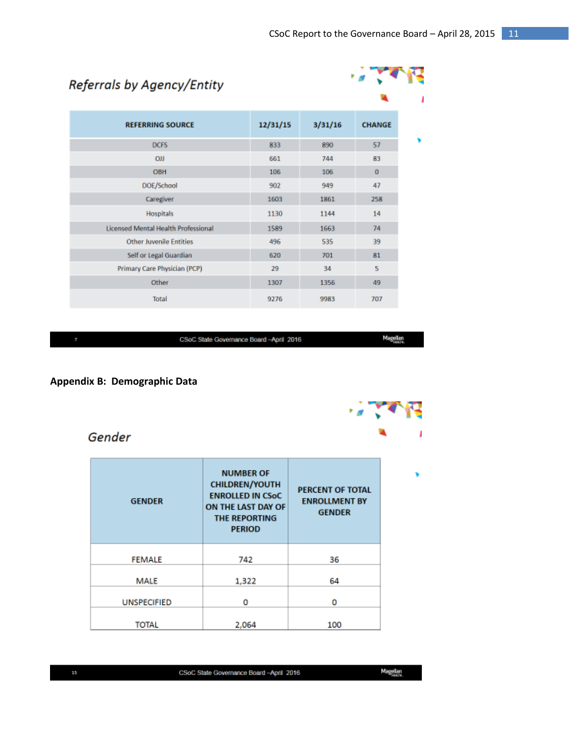$4.77992$ 

# Referrals by Agency/Entity

| <b>REFERRING SOURCE</b>                    | 12/31/15 | 3/31/16 | <b>CHANGE</b> |
|--------------------------------------------|----------|---------|---------------|
| <b>DCFS</b>                                | 833      | 890     | 57            |
| <b>OJJ</b>                                 | 661      | 744     | 83            |
| <b>OBH</b>                                 | 106      | 106     | $\mathbf 0$   |
| DOE/School                                 | 902      | 949     | 47            |
| Caregiver                                  | 1603     | 1861    | 258           |
| <b>Hospitals</b>                           | 1130     | 1144    | 14            |
| <b>Licensed Mental Health Professional</b> | 1589     | 1663    | 74            |
| <b>Other Juvenile Entities</b>             | 496      | 535     | 39            |
| Self or Legal Guardian                     | 620      | 701     | 81            |
| Primary Care Physician (PCP)               | 29       | 34      | 5             |
| Other                                      | 1307     | 1356    | 49            |
| Total                                      | 9276     | 9983    | 707           |
|                                            |          |         |               |

CSoC State Governance Board-April 2016

Magellan

#### Appendix B: Demographic Data

# Gender

| <b>GENDER</b>      | <b>NUMBER OF</b><br><b>CHILDREN/YOUTH</b><br><b>ENROLLED IN CSoC</b><br>ON THE LAST DAY OF<br><b>THE REPORTING</b><br><b>PERIOD</b> | <b>PERCENT OF TOTAL</b><br><b>ENROLLMENT BY</b><br><b>GENDER</b> |
|--------------------|-------------------------------------------------------------------------------------------------------------------------------------|------------------------------------------------------------------|
| <b>FEMALE</b>      | 742                                                                                                                                 | 36                                                               |
| MALE               | 1,322                                                                                                                               | 64                                                               |
| <b>UNSPECIFIED</b> | ٥                                                                                                                                   | 0                                                                |
| <b>TOTAL</b>       | 2.064                                                                                                                               | 100                                                              |